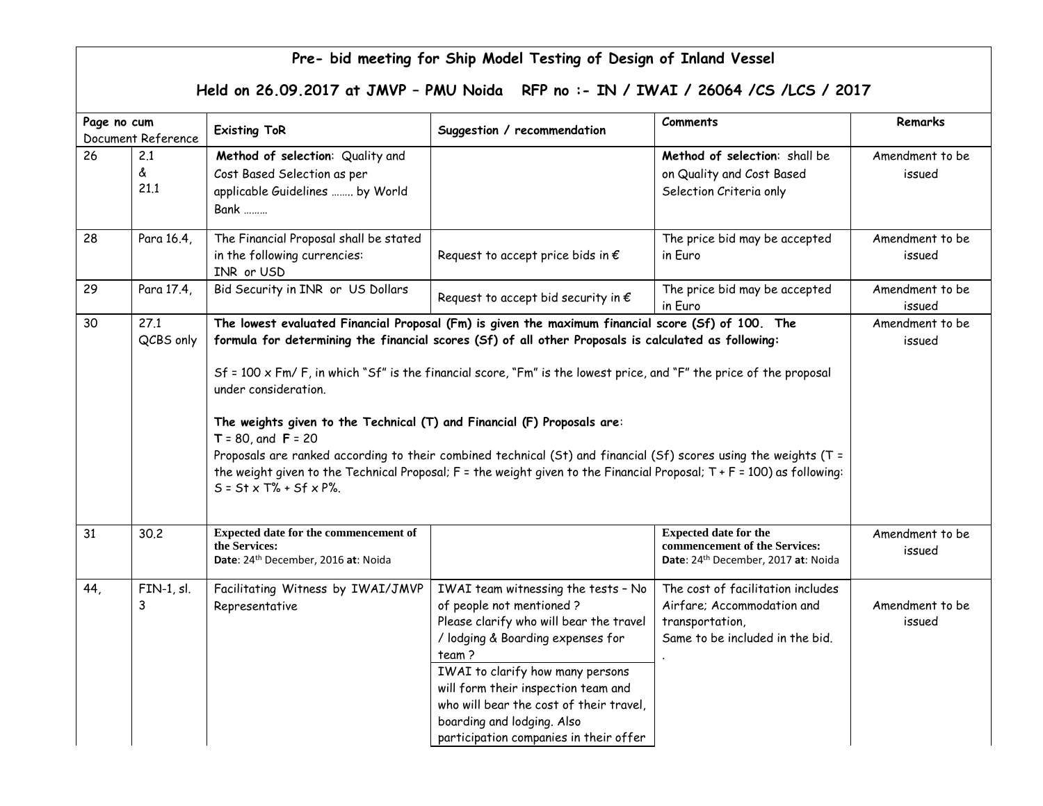## **Pre- bid meeting for Ship Model Testing of Design of Inland Vessel**

## **Held on 26.09.2017 at JMVP – PMU Noida RFP no :- IN / IWAI / 26064 /CS /LCS / 2017**

| Page no cum        |                   |                                                                                                                                                                                                                                                                                                                                                                                                                                                                                                                                                                                                                                                                                                                                                       |                                                                                                                                                                                                                                                                                                                                                         | Comments                                                                                                              | Remarks                   |
|--------------------|-------------------|-------------------------------------------------------------------------------------------------------------------------------------------------------------------------------------------------------------------------------------------------------------------------------------------------------------------------------------------------------------------------------------------------------------------------------------------------------------------------------------------------------------------------------------------------------------------------------------------------------------------------------------------------------------------------------------------------------------------------------------------------------|---------------------------------------------------------------------------------------------------------------------------------------------------------------------------------------------------------------------------------------------------------------------------------------------------------------------------------------------------------|-----------------------------------------------------------------------------------------------------------------------|---------------------------|
| Document Reference |                   | <b>Existing ToR</b>                                                                                                                                                                                                                                                                                                                                                                                                                                                                                                                                                                                                                                                                                                                                   | Suggestion / recommendation                                                                                                                                                                                                                                                                                                                             |                                                                                                                       |                           |
| 26                 | 2.1<br>ፈ<br>21.1  | Method of selection: Quality and<br>Cost Based Selection as per<br>applicable Guidelines  by World<br><b>Bank </b>                                                                                                                                                                                                                                                                                                                                                                                                                                                                                                                                                                                                                                    |                                                                                                                                                                                                                                                                                                                                                         | Method of selection: shall be<br>on Quality and Cost Based<br>Selection Criteria only                                 | Amendment to be<br>issued |
| 28                 | Para 16.4,        | The Financial Proposal shall be stated<br>in the following currencies:<br>INR or USD                                                                                                                                                                                                                                                                                                                                                                                                                                                                                                                                                                                                                                                                  | Request to accept price bids in $\epsilon$                                                                                                                                                                                                                                                                                                              | The price bid may be accepted<br>in Euro                                                                              | Amendment to be<br>issued |
| 29                 | Para 17.4,        | Bid Security in INR or US Dollars                                                                                                                                                                                                                                                                                                                                                                                                                                                                                                                                                                                                                                                                                                                     | Request to accept bid security in $\epsilon$                                                                                                                                                                                                                                                                                                            | The price bid may be accepted<br>in Euro                                                                              | Amendment to be<br>issued |
| 30                 | 27.1<br>QCBS only | The lowest evaluated Financial Proposal (Fm) is given the maximum financial score (Sf) of 100. The<br>formula for determining the financial scores (Sf) of all other Proposals is calculated as following:<br>Sf = 100 x Fm/ F, in which "Sf" is the financial score, "Fm" is the lowest price, and "F" the price of the proposal<br>under consideration.<br>The weights given to the Technical (T) and Financial (F) Proposals are:<br>$T = 80$ , and $F = 20$<br>Proposals are ranked according to their combined technical (St) and financial (Sf) scores using the weights (T =<br>the weight given to the Technical Proposal; F = the weight given to the Financial Proposal; T + F = 100) as following:<br>$S = St \times T\% + Sf \times P\%.$ | Amendment to be<br>issued                                                                                                                                                                                                                                                                                                                               |                                                                                                                       |                           |
| 31                 | 30.2              | Expected date for the commencement of<br>the Services:<br>Date: 24th December, 2016 at: Noida                                                                                                                                                                                                                                                                                                                                                                                                                                                                                                                                                                                                                                                         |                                                                                                                                                                                                                                                                                                                                                         | <b>Expected date for the</b><br>commencement of the Services:<br>Date: 24th December, 2017 at: Noida                  | Amendment to be<br>issued |
| 44,                | FIN-1, sl.<br>3   | Facilitating Witness by IWAI/JMVP<br>Representative                                                                                                                                                                                                                                                                                                                                                                                                                                                                                                                                                                                                                                                                                                   | IWAI team witnessing the tests - No<br>of people not mentioned ?<br>Please clarify who will bear the travel<br>/ lodging & Boarding expenses for<br>team?<br>IWAI to clarify how many persons<br>will form their inspection team and<br>who will bear the cost of their travel,<br>boarding and lodging. Also<br>participation companies in their offer | The cost of facilitation includes<br>Airfare; Accommodation and<br>transportation,<br>Same to be included in the bid. | Amendment to be<br>issued |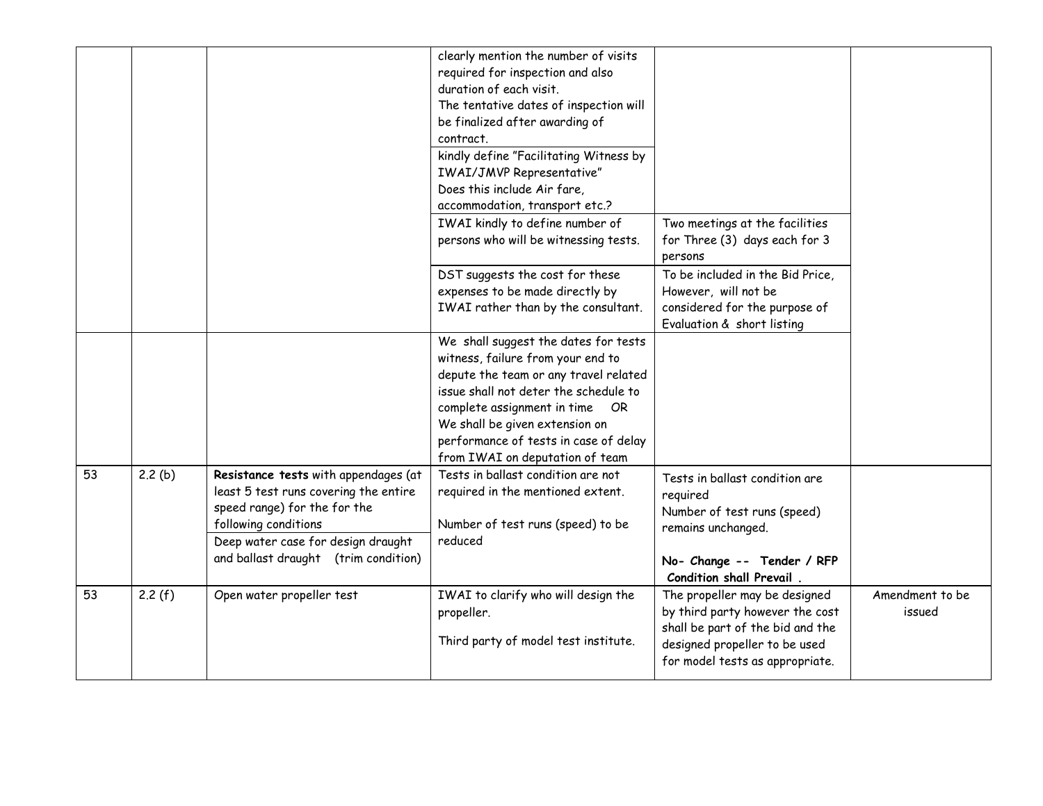|    |        |                                                                                                                                                                                                                     | clearly mention the number of visits<br>required for inspection and also<br>duration of each visit.<br>The tentative dates of inspection will<br>be finalized after awarding of<br>contract.<br>kindly define "Facilitating Witness by<br>IWAI/JMVP Representative"<br>Does this include Air fare,<br>accommodation, transport etc.?<br>IWAI kindly to define number of | Two meetings at the facilities                                                                                                                                           |                           |
|----|--------|---------------------------------------------------------------------------------------------------------------------------------------------------------------------------------------------------------------------|-------------------------------------------------------------------------------------------------------------------------------------------------------------------------------------------------------------------------------------------------------------------------------------------------------------------------------------------------------------------------|--------------------------------------------------------------------------------------------------------------------------------------------------------------------------|---------------------------|
|    |        |                                                                                                                                                                                                                     | persons who will be witnessing tests.<br>DST suggests the cost for these                                                                                                                                                                                                                                                                                                | for Three (3) days each for 3<br>persons<br>To be included in the Bid Price,                                                                                             |                           |
|    |        |                                                                                                                                                                                                                     | expenses to be made directly by<br>IWAI rather than by the consultant.                                                                                                                                                                                                                                                                                                  | However, will not be<br>considered for the purpose of<br>Evaluation & short listing                                                                                      |                           |
|    |        |                                                                                                                                                                                                                     | We shall suggest the dates for tests<br>witness, failure from your end to<br>depute the team or any travel related<br>issue shall not deter the schedule to<br>complete assignment in time OR<br>We shall be given extension on<br>performance of tests in case of delay<br>from IWAI on deputation of team                                                             |                                                                                                                                                                          |                           |
| 53 | 2.2(b) | Resistance tests with appendages (at<br>least 5 test runs covering the entire<br>speed range) for the for the<br>following conditions<br>Deep water case for design draught<br>and ballast draught (trim condition) | Tests in ballast condition are not<br>required in the mentioned extent.<br>Number of test runs (speed) to be<br>reduced                                                                                                                                                                                                                                                 | Tests in ballast condition are<br>required<br>Number of test runs (speed)<br>remains unchanged.<br>No- Change -- Tender / RFP<br>Condition shall Prevail.                |                           |
| 53 | 2.2(f) | Open water propeller test                                                                                                                                                                                           | IWAI to clarify who will design the<br>propeller.<br>Third party of model test institute.                                                                                                                                                                                                                                                                               | The propeller may be designed<br>by third party however the cost<br>shall be part of the bid and the<br>designed propeller to be used<br>for model tests as appropriate. | Amendment to be<br>issued |